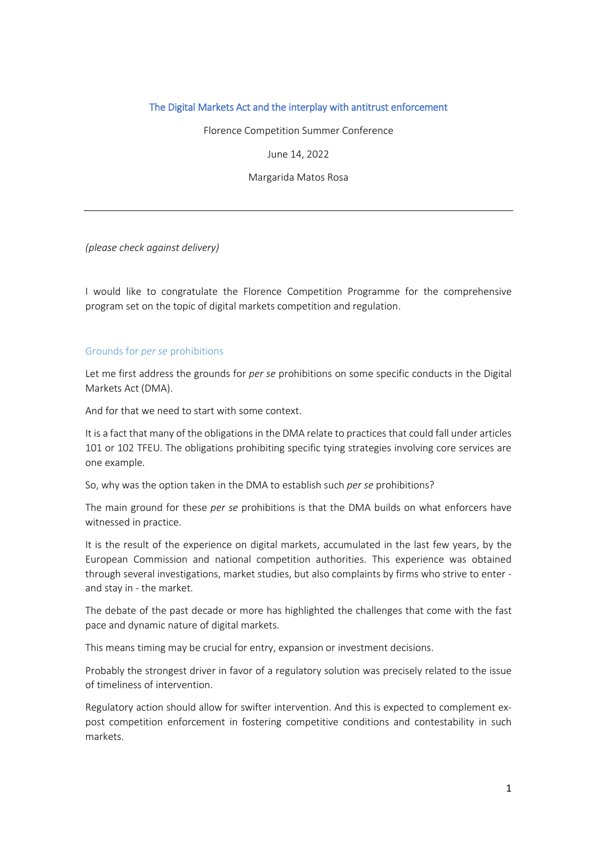## The Digital Markets Act and the interplay with antitrust enforcement

Florence Competition Summer Conference

June 14, 2022

Margarida Matos Rosa

*(please check against delivery)*

I would like to congratulate the Florence Competition Programme for the comprehensive program set on the topic of digital markets competition and regulation.

## Grounds for *per se* prohibitions

Let me first address the grounds for *per se* prohibitions on some specific conducts in the Digital Markets Act (DMA).

And for that we need to start with some context.

It is a fact that many of the obligations in the DMA relate to practices that could fall under articles 101 or 102 TFEU. The obligations prohibiting specific tying strategies involving core services are one example.

So, why was the option taken in the DMA to establish such *per se* prohibitions?

The main ground for these *per se* prohibitions is that the DMA builds on what enforcers have witnessed in practice.

It is the result of the experience on digital markets, accumulated in the last few years, by the European Commission and national competition authorities. This experience was obtained through several investigations, market studies, but also complaints by firms who strive to enter and stay in - the market.

The debate of the past decade or more has highlighted the challenges that come with the fast pace and dynamic nature of digital markets.

This means timing may be crucial for entry, expansion or investment decisions.

Probably the strongest driver in favor of a regulatory solution was precisely related to the issue of timeliness of intervention.

Regulatory action should allow for swifter intervention. And this is expected to complement expost competition enforcement in fostering competitive conditions and contestability in such markets.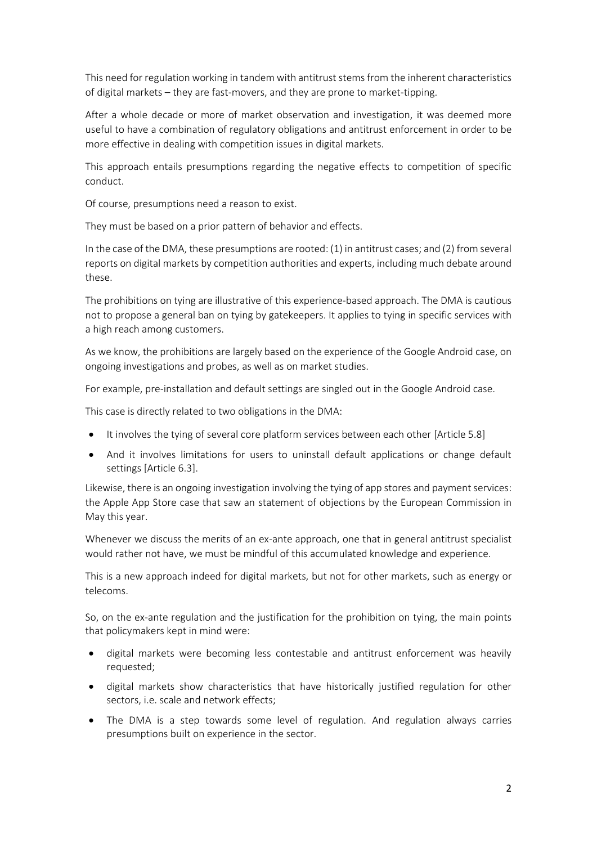This need for regulation working in tandem with antitrust stems from the inherent characteristics of digital markets – they are fast-movers, and they are prone to market-tipping.

After a whole decade or more of market observation and investigation, it was deemed more useful to have a combination of regulatory obligations and antitrust enforcement in order to be more effective in dealing with competition issues in digital markets.

This approach entails presumptions regarding the negative effects to competition of specific conduct.

Of course, presumptions need a reason to exist.

They must be based on a prior pattern of behavior and effects.

In the case of the DMA, these presumptions are rooted: (1) in antitrust cases; and (2) from several reports on digital markets by competition authorities and experts, including much debate around these.

The prohibitions on tying are illustrative of this experience-based approach. The DMA is cautious not to propose a general ban on tying by gatekeepers. It applies to tying in specific services with a high reach among customers.

As we know, the prohibitions are largely based on the experience of the Google Android case, on ongoing investigations and probes, as well as on market studies.

For example, pre-installation and default settings are singled out in the Google Android case.

This case is directly related to two obligations in the DMA:

- It involves the tying of several core platform services between each other [Article 5.8]
- And it involves limitations for users to uninstall default applications or change default settings [Article 6.3].

Likewise, there is an ongoing investigation involving the tying of app stores and payment services: the Apple App Store case that saw an statement of objections by the European Commission in May this year.

Whenever we discuss the merits of an ex-ante approach, one that in general antitrust specialist would rather not have, we must be mindful of this accumulated knowledge and experience.

This is a new approach indeed for digital markets, but not for other markets, such as energy or telecoms.

So, on the ex-ante regulation and the justification for the prohibition on tying, the main points that policymakers kept in mind were:

- digital markets were becoming less contestable and antitrust enforcement was heavily requested;
- digital markets show characteristics that have historically justified regulation for other sectors, i.e. scale and network effects;
- The DMA is a step towards some level of regulation. And regulation always carries presumptions built on experience in the sector.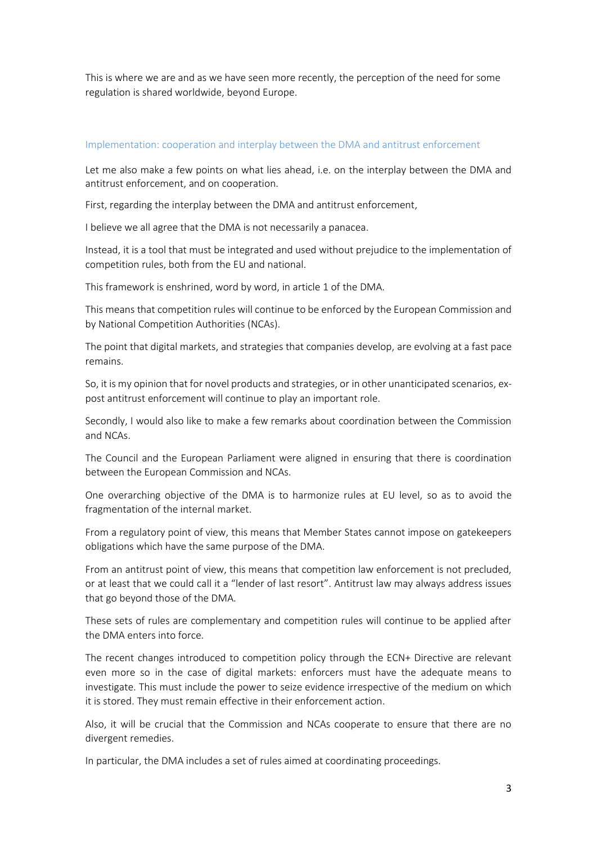This is where we are and as we have seen more recently, the perception of the need for some regulation is shared worldwide, beyond Europe.

## Implementation: cooperation and interplay between the DMA and antitrust enforcement

Let me also make a few points on what lies ahead, i.e. on the interplay between the DMA and antitrust enforcement, and on cooperation.

First, regarding the interplay between the DMA and antitrust enforcement,

I believe we all agree that the DMA is not necessarily a panacea.

Instead, it is a tool that must be integrated and used without prejudice to the implementation of competition rules, both from the EU and national.

This framework is enshrined, word by word, in article 1 of the DMA.

This means that competition rules will continue to be enforced by the European Commission and by National Competition Authorities (NCAs).

The point that digital markets, and strategies that companies develop, are evolving at a fast pace remains.

So, it is my opinion that for novel products and strategies, or in other unanticipated scenarios, expost antitrust enforcement will continue to play an important role.

Secondly, I would also like to make a few remarks about coordination between the Commission and NCAs.

The Council and the European Parliament were aligned in ensuring that there is coordination between the European Commission and NCAs.

One overarching objective of the DMA is to harmonize rules at EU level, so as to avoid the fragmentation of the internal market.

From a regulatory point of view, this means that Member States cannot impose on gatekeepers obligations which have the same purpose of the DMA.

From an antitrust point of view, this means that competition law enforcement is not precluded, or at least that we could call it a "lender of last resort". Antitrust law may always address issues that go beyond those of the DMA.

These sets of rules are complementary and competition rules will continue to be applied after the DMA enters into force.

The recent changes introduced to competition policy through the ECN+ Directive are relevant even more so in the case of digital markets: enforcers must have the adequate means to investigate. This must include the power to seize evidence irrespective of the medium on which it is stored. They must remain effective in their enforcement action.

Also, it will be crucial that the Commission and NCAs cooperate to ensure that there are no divergent remedies.

In particular, the DMA includes a set of rules aimed at coordinating proceedings.